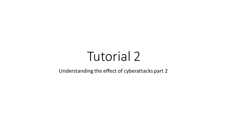# Tutorial 2

#### Understanding the effect of cyberattacks part 2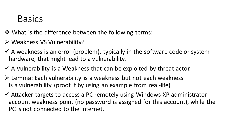#### **Basics**

❖ What is the difference between the following terms:

- ➢ Weakness VS Vulnerability?
- $\checkmark$  A weakness is an error (problem), typically in the software code or system hardware, that might lead to a vulnerability.
- $\checkmark$  A Vulnerability is a Weakness that can be exploited by threat actor.
- ➢ Lemma: Each vulnerability is a weakness but not each weakness is a vulnerability (proof it by using an example from real-life)
- $\checkmark$  Attacker targets to access a PC remotely using Windows XP administrator account weakness point (no password is assigned for this account), while the PC is not connected to the internet.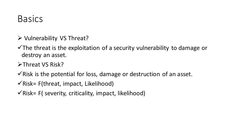### **Basics**

- ➢ Vulnerability VS Threat?
- $\checkmark$ The threat is the exploitation of a security vulnerability to damage or destroy an asset.
- ➢Threat VS Risk?
- $\checkmark$  Risk is the potential for loss, damage or destruction of an asset.
- $\checkmark$  Risk= F(threat, impact, Likelihood)
- $\checkmark$  Risk= F( severity, criticality, impact, likelihood)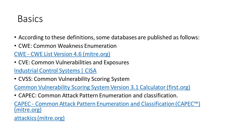### **Basics**

- According to these definitions, some databases are published as follows:
- CWE: Common Weakness Enumeration

CWE - [CWE List Version 4.6 \(mitre.org\)](https://cwe.mitre.org/data/index.html)

• CVE: Common Vulnerabilities and Exposures

[Industrial Control Systems | CISA](https://us-cert.cisa.gov/ics)

• CVSS: Common Vulnerability Scoring System

[Common Vulnerability Scoring System Version 3.1 Calculator \(first.org\)](https://www.first.org/cvss/calculator/3.1)

• CAPEC: Common Attack Pattern Enumeration and classification.

CAPEC - [Common Attack Pattern Enumeration and Classification \(CAPEC](https://capec.mitre.org/)™) (mitre.org)

[attackics \(mitre.org\)](https://collaborate.mitre.org/attackics/index.php/Main_Page)